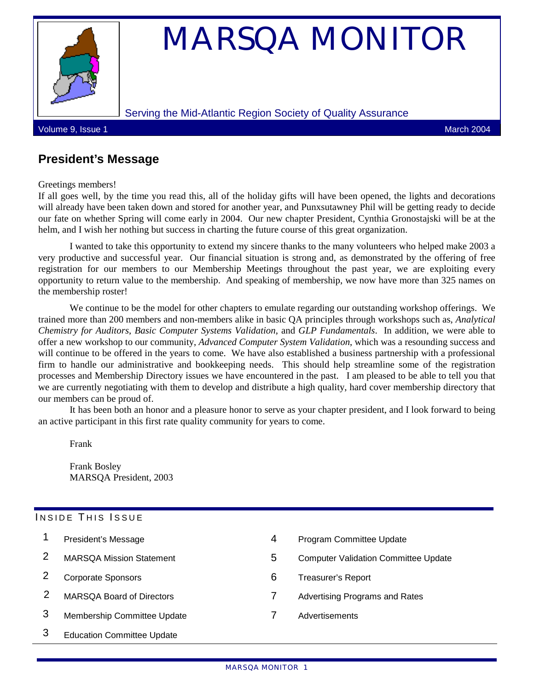

# MARSQA MONITOR

#### Serving the Mid-Atlantic Region Society of Quality Assurance

Volume 9, Issue 1 March 2004

## **President's Message**

Greetings members!

If all goes well, by the time you read this, all of the holiday gifts will have been opened, the lights and decorations will already have been taken down and stored for another year, and Punxsutawney Phil will be getting ready to decide our fate on whether Spring will come early in 2004. Our new chapter President, Cynthia Gronostajski will be at the helm, and I wish her nothing but success in charting the future course of this great organization.

I wanted to take this opportunity to extend my sincere thanks to the many volunteers who helped make 2003 a very productive and successful year. Our financial situation is strong and, as demonstrated by the offering of free registration for our members to our Membership Meetings throughout the past year, we are exploiting every opportunity to return value to the membership. And speaking of membership, we now have more than 325 names on the membership roster!

We continue to be the model for other chapters to emulate regarding our outstanding workshop offerings. We trained more than 200 members and non-members alike in basic QA principles through workshops such as, *Analytical Chemistry for Auditors*, *Basic Computer Systems Validation*, and *GLP Fundamentals*. In addition, we were able to offer a new workshop to our community, *Advanced Computer System Validation*, which was a resounding success and will continue to be offered in the years to come. We have also established a business partnership with a professional firm to handle our administrative and bookkeeping needs. This should help streamline some of the registration processes and Membership Directory issues we have encountered in the past. I am pleased to be able to tell you that we are currently negotiating with them to develop and distribute a high quality, hard cover membership directory that our members can be proud of.

It has been both an honor and a pleasure honor to serve as your chapter president, and I look forward to being an active participant in this first rate quality community for years to come.

Frank

Frank Bosley MARSQA President, 2003

#### INSIDE THIS ISSUE

|   | President's Message               | 4 | Program Committee Update                    |
|---|-----------------------------------|---|---------------------------------------------|
|   | <b>MARSQA Mission Statement</b>   | 5 | <b>Computer Validation Committee Update</b> |
|   | <b>Corporate Sponsors</b>         | 6 | Treasurer's Report                          |
|   | <b>MARSQA Board of Directors</b>  |   | <b>Advertising Programs and Rates</b>       |
| 3 | Membership Committee Update       |   | Advertisements                              |
| 3 | <b>Education Committee Update</b> |   |                                             |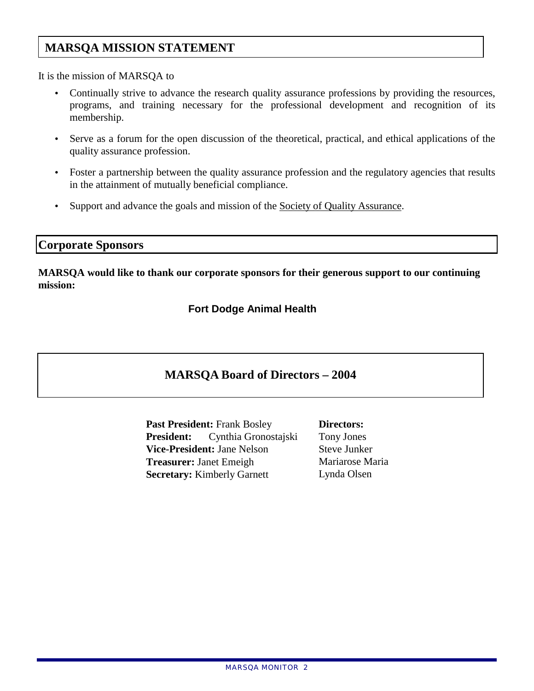## **MARSQA MISSION STATEMENT**

It is the mission of MARSQA to

- Continually strive to advance the research quality assurance professions by providing the resources, programs, and training necessary for the professional development and recognition of its membership.
- Serve as a forum for the open discussion of the theoretical, practical, and ethical applications of the quality assurance profession.
- Foster a partnership between the quality assurance profession and the regulatory agencies that results in the attainment of mutually beneficial compliance.
- Support and advance the goals and mission of the [Society of Quality Assurance.](http://www.sqa.org/)

#### **Corporate Sponsors**

**MARSQA would like to thank our corporate sponsors for their generous support to our continuing mission:** 

**Fort Dodge Animal Health** 

## **MARSQA Board of Directors – 2004**

**Past President:** Frank Bosley **Directors:** President: Cynthia Gronostajski Tony Jones **Vice-President:** Jane Nelson Steve Junker **Treasurer:** Janet Emeigh Mariarose Maria **Secretary:** Kimberly Garnett Lynda Olsen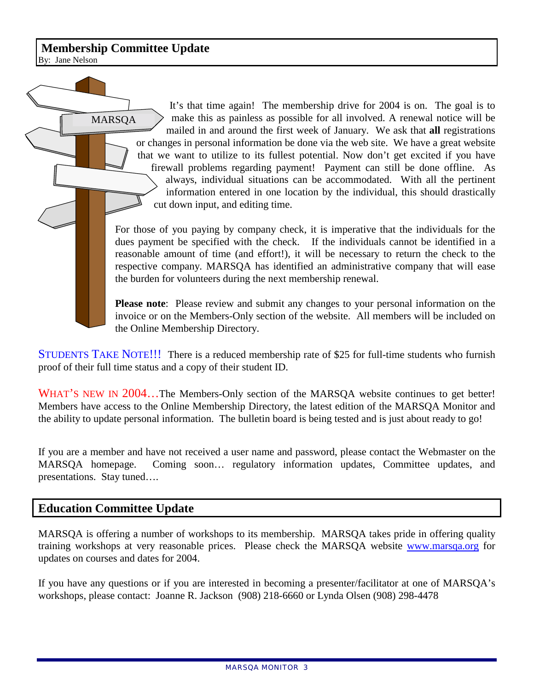## **Membership Committee Update**

By: Jane Nelson

It's that time again! The membership drive for 2004 is on. The goal is to make this as painless as possible for all involved. A renewal notice will be mailed in and around the first week of January. We ask that **all** registrations or changes in personal information be done via the web site. We have a great website that we want to utilize to its fullest potential. Now don't get excited if you have firewall problems regarding payment! Payment can still be done offline. As always, individual situations can be accommodated. With all the pertinent information entered in one location by the individual, this should drastically cut down input, and editing time. MARSQA

For those of you paying by company check, it is imperative that the individuals for the dues payment be specified with the check. If the individuals cannot be identified in a reasonable amount of time (and effort!), it will be necessary to return the check to the respective company. MARSQA has identified an administrative company that will ease the burden for volunteers during the next membership renewal.

**Please note**: Please review and submit any changes to your personal information on the invoice or on the Members-Only section of the website. All members will be included on the Online Membership Directory.

STUDENTS TAKE NOTE!!! There is a reduced membership rate of \$25 for full-time students who furnish proof of their full time status and a copy of their student ID.

WHAT'S NEW IN 2004...The Members-Only section of the MARSQA website continues to get better! Members have access to the Online Membership Directory, the latest edition of the MARSQA Monitor and the ability to update personal information. The bulletin board is being tested and is just about ready to go!

If you are a member and have not received a user name and password, please contact the Webmaster on the MARSQA homepage. Coming soon… regulatory information updates, Committee updates, and presentations. Stay tuned….

### **Education Committee Update**

MARSQA is offering a number of workshops to its membership. MARSQA takes pride in offering quality training workshops at very reasonable prices. Please check the MARSQA website www.marsqa.org for updates on courses and dates for 2004.

If you have any questions or if you are interested in becoming a presenter/facilitator at one of MARSQA's workshops, please contact: Joanne R. Jackson (908) 218-6660 or Lynda Olsen (908) 298-4478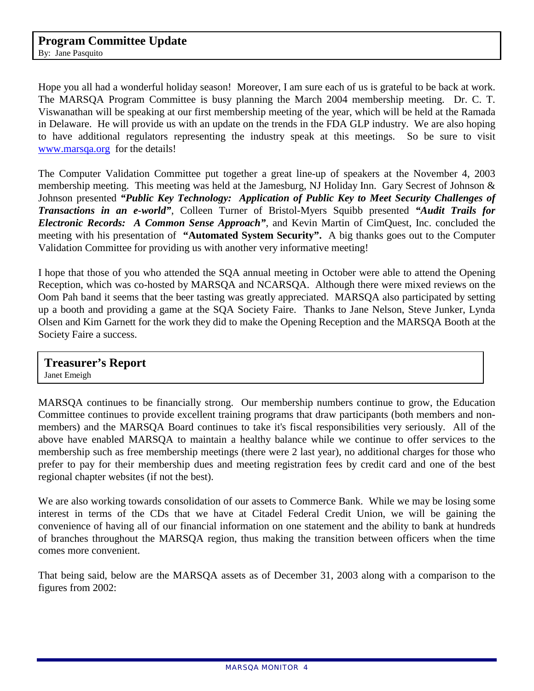Hope you all had a wonderful holiday season! Moreover, I am sure each of us is grateful to be back at work. The MARSQA Program Committee is busy planning the March 2004 membership meeting. Dr. C. T. Viswanathan will be speaking at our first membership meeting of the year, which will be held at the Ramada in Delaware. He will provide us with an update on the trends in the FDA GLP industry. We are also hoping to have additional regulators representing the industry speak at this meetings. So be sure to visit [www.marsqa.org](http://www.marsqa.org/) for the details!

The Computer Validation Committee put together a great line-up of speakers at the November 4, 2003 membership meeting. This meeting was held at the Jamesburg, NJ Holiday Inn. Gary Secrest of Johnson & Johnson presented *"Public Key Technology: Application of Public Key to Meet Security Challenges of Transactions in an e-world"*, Colleen Turner of Bristol-Myers Squibb presented *"Audit Trails for Electronic Records: A Common Sense Approach"*, and Kevin Martin of CimQuest, Inc. concluded the meeting with his presentation of **"Automated System Security".** A big thanks goes out to the Computer Validation Committee for providing us with another very informative meeting!

I hope that those of you who attended the SQA annual meeting in October were able to attend the Opening Reception, which was co-hosted by MARSQA and NCARSQA. Although there were mixed reviews on the Oom Pah band it seems that the beer tasting was greatly appreciated. MARSQA also participated by setting up a booth and providing a game at the SQA Society Faire. Thanks to Jane Nelson, Steve Junker, Lynda Olsen and Kim Garnett for the work they did to make the Opening Reception and the MARSQA Booth at the Society Faire a success.

#### **Treasurer's Report**  Janet Emeigh

MARSQA continues to be financially strong. Our membership numbers continue to grow, the Education Committee continues to provide excellent training programs that draw participants (both members and nonmembers) and the MARSQA Board continues to take it's fiscal responsibilities very seriously. All of the above have enabled MARSQA to maintain a healthy balance while we continue to offer services to the membership such as free membership meetings (there were 2 last year), no additional charges for those who prefer to pay for their membership dues and meeting registration fees by credit card and one of the best regional chapter websites (if not the best).

We are also working towards consolidation of our assets to Commerce Bank. While we may be losing some interest in terms of the CDs that we have at Citadel Federal Credit Union, we will be gaining the convenience of having all of our financial information on one statement and the ability to bank at hundreds of branches throughout the MARSQA region, thus making the transition between officers when the time comes more convenient.

That being said, below are the MARSQA assets as of December 31, 2003 along with a comparison to the figures from 2002: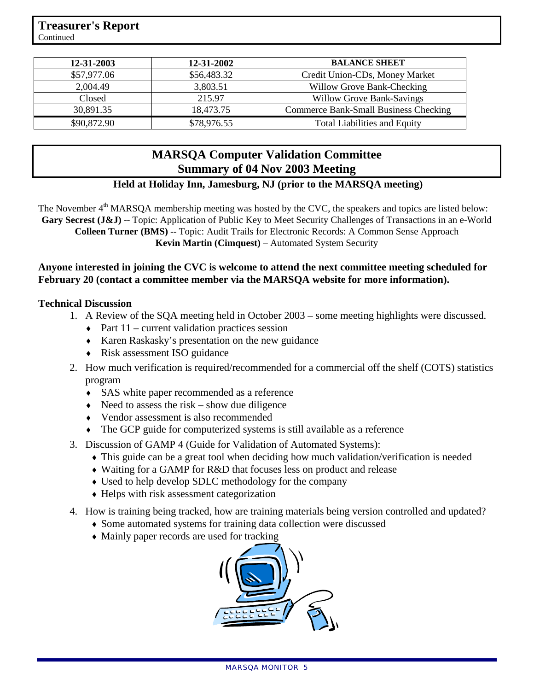| 12-31-2003  | 12-31-2002  | <b>BALANCE SHEET</b>                  |
|-------------|-------------|---------------------------------------|
| \$57,977.06 | \$56,483.32 | Credit Union-CDs, Money Market        |
| 2,004.49    | 3,803.51    | Willow Grove Bank-Checking            |
| Closed      | 215.97      | <b>Willow Grove Bank-Savings</b>      |
| 30,891.35   | 18,473.75   | Commerce Bank-Small Business Checking |
| \$90,872.90 | \$78,976.55 | <b>Total Liabilities and Equity</b>   |

## **MARSQA Computer Validation Committee Summary of 04 Nov 2003 Meeting**

## **Held at Holiday Inn, Jamesburg, NJ (prior to the MARSQA meeting)**

The November 4<sup>th</sup> MARSQA membership meeting was hosted by the CVC, the speakers and topics are listed below: Gary Secrest (J&J) -- Topic: Application of Public Key to Meet Security Challenges of Transactions in an e-World **Colleen Turner (BMS)** -- Topic: Audit Trails for Electronic Records: A Common Sense Approach **Kevin Martin (Cimquest)** – Automated System Security

#### **Anyone interested in joining the CVC is welcome to attend the next committee meeting scheduled for February 20 (contact a committee member via the MARSQA website for more information).**

#### **Technical Discussion**

- 1. A Review of the SQA meeting held in October 2003 some meeting highlights were discussed.
	- $\rightarrow$  Part 11 current validation practices session
	- ♦ Karen Raskasky's presentation on the new guidance
	- Risk assessment ISO guidance
- 2. How much verification is required/recommended for a commercial off the shelf (COTS) statistics program
	- SAS white paper recommended as a reference
	- $\triangle$  Need to assess the risk show due diligence
	- ♦ Vendor assessment is also recommended
	- The GCP guide for computerized systems is still available as a reference
- 3. Discussion of GAMP 4 (Guide for Validation of Automated Systems):
	- ♦ This guide can be a great tool when deciding how much validation/verification is needed
	- ♦ Waiting for a GAMP for R&D that focuses less on product and release
	- Used to help develop SDLC methodology for the company
	- ♦ Helps with risk assessment categorization
- 4. How is training being tracked, how are training materials being version controlled and updated?
	- ♦ Some automated systems for training data collection were discussed
	- Mainly paper records are used for tracking

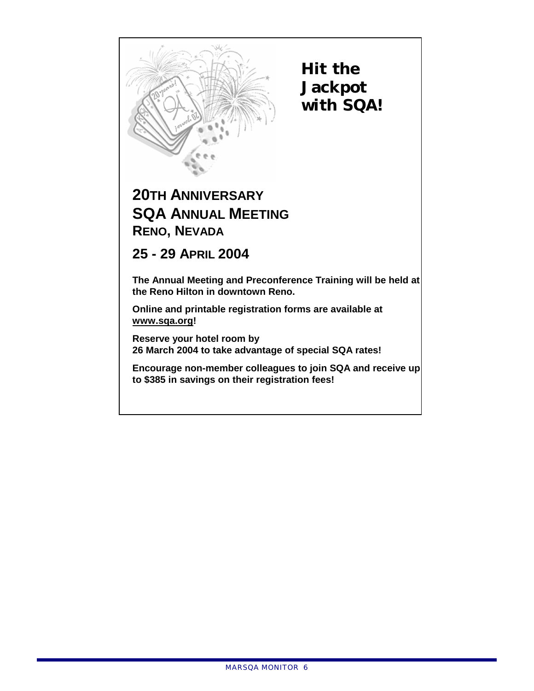

**Hit the Jackpot with SQA!** 

# **20TH ANNIVERSARY SQA ANNUAL MEETING RENO, NEVADA**

**25 - 29 APRIL 2004** 

**The Annual Meeting and Preconference Training will be held at the Reno Hilton in downtown Reno.** 

**Online and printable registration forms are available at www.sqa.org!** 

**Reserve your hotel room by 26 March 2004 to take advantage of special SQA rates!** 

**Encourage non-member colleagues to join SQA and receive up to \$385 in savings on their registration fees!**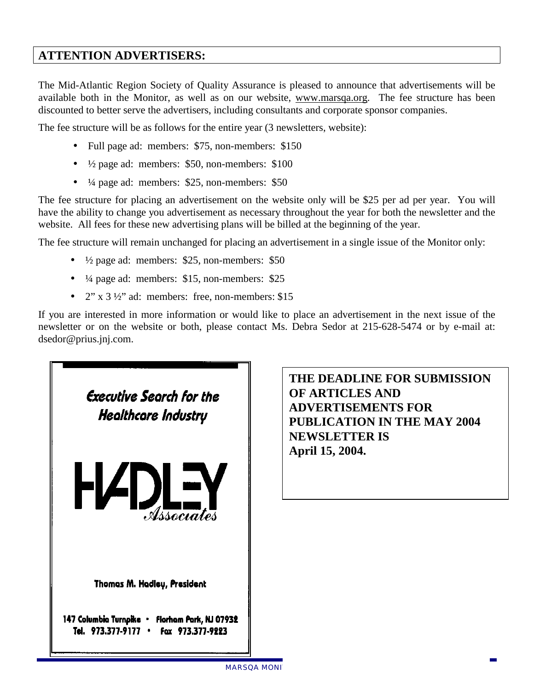## **ATTENTION ADVERTISERS:**

The Mid-Atlantic Region Society of Quality Assurance is pleased to announce that advertisements will be available both in the Monitor, as well as on our website, www.marsqa.org. The fee structure has been discounted to better serve the advertisers, including consultants and corporate sponsor companies.

The fee structure will be as follows for the entire year (3 newsletters, website):

- Full page ad: members: \$75, non-members: \$150
- $\frac{1}{2}$  page ad: members: \$50, non-members: \$100
- $\frac{1}{4}$  page ad: members: \$25, non-members: \$50

The fee structure for placing an advertisement on the website only will be \$25 per ad per year. You will have the ability to change you advertisement as necessary throughout the year for both the newsletter and the website. All fees for these new advertising plans will be billed at the beginning of the year.

The fee structure will remain unchanged for placing an advertisement in a single issue of the Monitor only:

- $\frac{1}{2}$  page ad: members: \$25, non-members: \$50
- $\bullet$   $\frac{1}{4}$  page ad: members: \$15, non-members: \$25
- $2''$  x  $3\frac{1}{2}$  ad: members: free, non-members: \$15

If you are interested in more information or would like to place an advertisement in the next issue of the newsletter or on the website or both, please contact Ms. Debra Sedor at 215-628-5474 or by e-mail at: dsedor@prius.jnj.com.



**THE DEADLINE FOR SUBMISSION OF ARTICLES AND ADVERTISEMENTS FOR PUBLICATION IN THE MAY 2004 NEWSLETTER IS April 15, 2004.**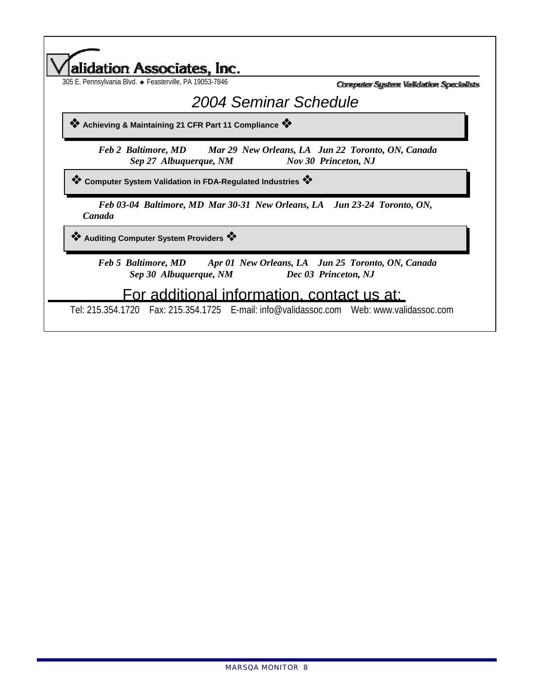| 305 E. Pennsylvania Blvd. · Feasterville, PA 19053-7846                                                              | Computer System Validation Specialists |
|----------------------------------------------------------------------------------------------------------------------|----------------------------------------|
|                                                                                                                      | 2004 Seminar Schedule                  |
| ☆ Achieving & Maintaining 21 CFR Part 11 Compliance ☆                                                                |                                        |
| Feb 2 Baltimore, MD Mar 29 New Orleans, LA Jun 22 Toronto, ON, Canada<br>Sep 27 Albuquerque, NM                      | <b>Nov 30 Princeton, NJ</b>            |
| <sup>◆</sup> Computer System Validation in FDA-Regulated Industries <sup>◆</sup>                                     |                                        |
| Feb 03-04 Baltimore, MD Mar 30-31 New Orleans, LA Jun 23-24 Toronto, ON,<br>Canada                                   |                                        |
| <b><sup>*</sup></b> Auditing Computer System Providers *                                                             |                                        |
|                                                                                                                      |                                        |
| Feb 5 Baltimore, MD Apr 01 New Orleans, LA Jun 25 Toronto, ON, Canada<br>Sep 30 Albuquerque, NM Dec 03 Princeton, NJ |                                        |

Tel: 215.354.1720 Fax: 215.354.1725 E-mail: info@validassoc.com Web: www.validassoc.com